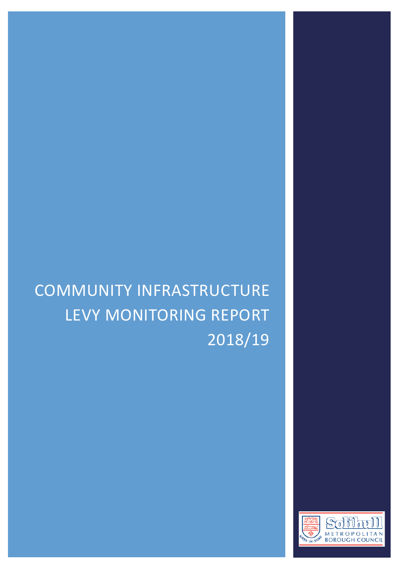# COMMUNITY INFRASTRUCTURE LEVY MONITORING REPORT 2018/19

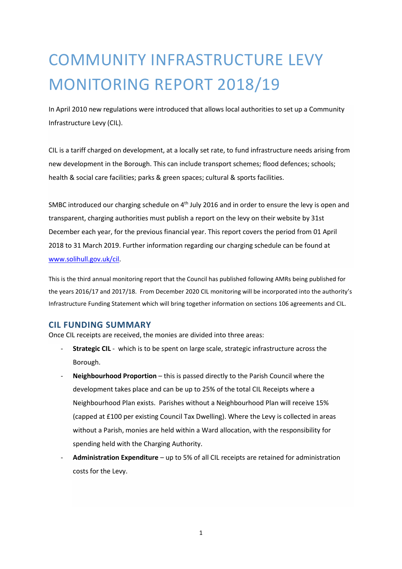# COMMUNITY INFRASTRUCTURE LEVY MONITORING REPORT 2018/19

In April 2010 new regulations were introduced that allows local authorities to set up a Community Infrastructure Levy (CIL).

CIL is a tariff charged on development, at a locally set rate, to fund infrastructure needs arising from new development in the Borough. This can include transport schemes; flood defences; schools; health & social care facilities; parks & green spaces; cultural & sports facilities.

SMBC introduced our charging schedule on 4<sup>th</sup> July 2016 and in order to ensure the levy is open and transparent, charging authorities must publish a report on the levy on their website by 31st December each year, for the previous financial year. This report covers the period from 01 April 2018 to 31 March 2019. Further information regarding our charging schedule can be found at [www.solihull.gov.uk/cil.](http://www.solihull.gov.uk/cil)

This is the third annual monitoring report that the Council has published following AMRs being published for the years 2016/17 and 2017/18. From December 2020 CIL monitoring will be incorporated into the authority's Infrastructure Funding Statement which will bring together information on sections 106 agreements and CIL.

#### **CIL FUNDING SUMMARY**

Once CIL receipts are received, the monies are divided into three areas:

- **Strategic CIL** which is to be spent on large scale, strategic infrastructure across the Borough.
- **Neighbourhood Proportion** this is passed directly to the Parish Council where the development takes place and can be up to 25% of the total CIL Receipts where a Neighbourhood Plan exists. Parishes without a Neighbourhood Plan will receive 15% (capped at £100 per existing Council Tax Dwelling). Where the Levy is collected in areas without a Parish, monies are held within a Ward allocation, with the responsibility for spending held with the Charging Authority.
- **Administration Expenditure** up to 5% of all CIL receipts are retained for administration costs for the Levy.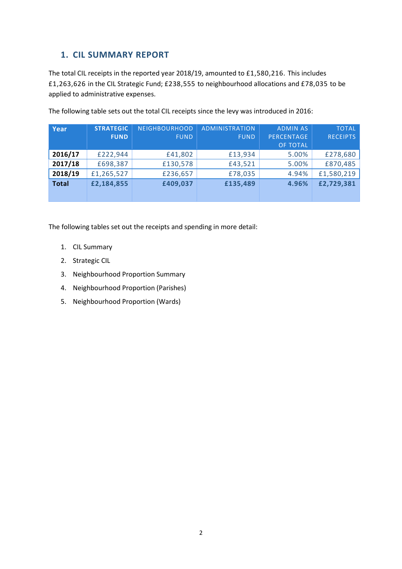#### **1. CIL SUMMARY REPORT**

The total CIL receipts in the reported year 2018/19, amounted to £1,580,216. This includes £1,263,626 in the CIL Strategic Fund; £238,555 to neighbourhood allocations and £78,035 to be applied to administrative expenses.

| Year         | <b>STRATEGIC</b><br><b>FUND</b> | <b>NEIGHBOURHOOD</b><br><b>FUND</b> | <b>ADMINISTRATION</b><br><b>FUND</b> | <b>ADMIN AS</b><br><b>PERCENTAGE</b><br><b>OF TOTAL</b> | <b>TOTAL</b><br><b>RECEIPTS</b> |
|--------------|---------------------------------|-------------------------------------|--------------------------------------|---------------------------------------------------------|---------------------------------|
| 2016/17      | £222,944                        | £41,802                             | £13,934                              | 5.00%                                                   | £278,680                        |
| 2017/18      | £698,387                        | £130,578                            | £43,521                              | 5.00%                                                   | £870,485                        |
| 2018/19      | £1,265,527                      | £236,657                            | £78,035                              | 4.94%                                                   | £1,580,219                      |
| <b>Total</b> | £2,184,855                      | £409,037                            | £135,489                             | 4.96%                                                   | £2,729,381                      |

The following table sets out the total CIL receipts since the levy was introduced in 2016:

The following tables set out the receipts and spending in more detail:

- 1. CIL Summary
- 2. Strategic CIL
- 3. Neighbourhood Proportion Summary
- 4. Neighbourhood Proportion (Parishes)
- 5. Neighbourhood Proportion (Wards)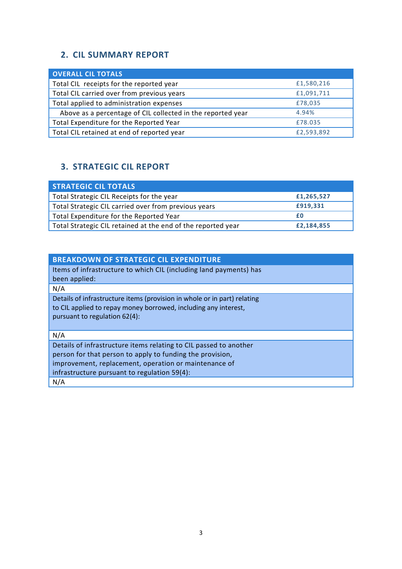### **2. CIL SUMMARY REPORT**

| <b>OVERALL CIL TOTALS</b>                                   |            |
|-------------------------------------------------------------|------------|
| Total CIL receipts for the reported year                    | £1,580,216 |
| Total CIL carried over from previous years                  | £1,091,711 |
| Total applied to administration expenses                    | £78,035    |
| Above as a percentage of CIL collected in the reported year | 4.94%      |
| Total Expenditure for the Reported Year                     | £78.035    |
| Total CIL retained at end of reported year                  | £2,593,892 |

### **3. STRATEGIC CIL REPORT**

| <b>STRATEGIC CIL TOTALS</b>                                  |            |
|--------------------------------------------------------------|------------|
| Total Strategic CIL Receipts for the year                    | £1,265,527 |
| Total Strategic CIL carried over from previous years         | £919,331   |
| Total Expenditure for the Reported Year                      | f۵         |
| Total Strategic CIL retained at the end of the reported year | £2,184,855 |

| <b>BREAKDOWN OF STRATEGIC CIL EXPENDITURE</b>                            |
|--------------------------------------------------------------------------|
| Items of infrastructure to which CIL (including land payments) has       |
| been applied:                                                            |
| N/A                                                                      |
| Details of infrastructure items (provision in whole or in part) relating |
| to CIL applied to repay money borrowed, including any interest,          |
| pursuant to regulation 62(4):                                            |
|                                                                          |
| N/A                                                                      |
| Details of infrastructure items relating to CIL passed to another        |
| person for that person to apply to funding the provision,                |
| improvement, replacement, operation or maintenance of                    |
| infrastructure pursuant to regulation 59(4):                             |
| N/A                                                                      |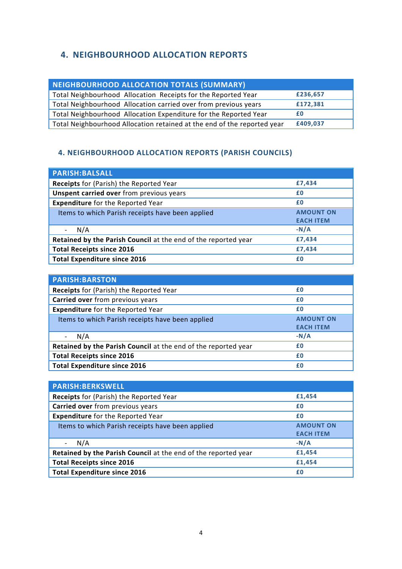#### **4. NEIGHBOURHOOD ALLOCATION REPORTS**

| NEIGHBOURHOOD ALLOCATION TOTALS (SUMMARY)                               |          |
|-------------------------------------------------------------------------|----------|
| Total Neighbourhood Allocation Receipts for the Reported Year           | £236,657 |
| Total Neighbourhood Allocation carried over from previous years         | £172,381 |
| Total Neighbourhood Allocation Expenditure for the Reported Year        | £Ο       |
| Total Neighbourhood Allocation retained at the end of the reported year | £409,037 |

#### **4. 4. NEIGHBOURHOOD ALLOCATION REPORTS (PARISH COUNCILS)**

| <b>PARISH:BALSALL</b>                                          |                  |
|----------------------------------------------------------------|------------------|
| Receipts for (Parish) the Reported Year                        | £7,434           |
| <b>Unspent carried over from previous years</b>                | £0               |
| <b>Expenditure</b> for the Reported Year                       | £0               |
| Items to which Parish receipts have been applied               | <b>AMOUNT ON</b> |
|                                                                | <b>EACH ITEM</b> |
| N/A                                                            | $-N/A$           |
| Retained by the Parish Council at the end of the reported year | £7,434           |
| <b>Total Receipts since 2016</b>                               | £7,434           |
| <b>Total Expenditure since 2016</b>                            | £0               |

| <b>PARISH:BARSTON</b>                                          |                  |
|----------------------------------------------------------------|------------------|
| Receipts for (Parish) the Reported Year                        | £0               |
| Carried over from previous years                               | £0               |
| <b>Expenditure</b> for the Reported Year                       | £0               |
| Items to which Parish receipts have been applied               | <b>AMOUNT ON</b> |
|                                                                | <b>EACH ITEM</b> |
| N/A                                                            | $-N/A$           |
| Retained by the Parish Council at the end of the reported year | £0               |
| <b>Total Receipts since 2016</b>                               | £0               |
| <b>Total Expenditure since 2016</b>                            | £0               |

| <b>PARISH:BERKSWELL</b>                                        |                                      |
|----------------------------------------------------------------|--------------------------------------|
| Receipts for (Parish) the Reported Year                        | £1,454                               |
| Carried over from previous years                               | £0                                   |
| <b>Expenditure</b> for the Reported Year                       | £0                                   |
| Items to which Parish receipts have been applied               | <b>AMOUNT ON</b><br><b>EACH ITEM</b> |
| N/A                                                            | $-N/A$                               |
| Retained by the Parish Council at the end of the reported year | £1,454                               |
| <b>Total Receipts since 2016</b>                               | £1,454                               |
| <b>Total Expenditure since 2016</b>                            | £0                                   |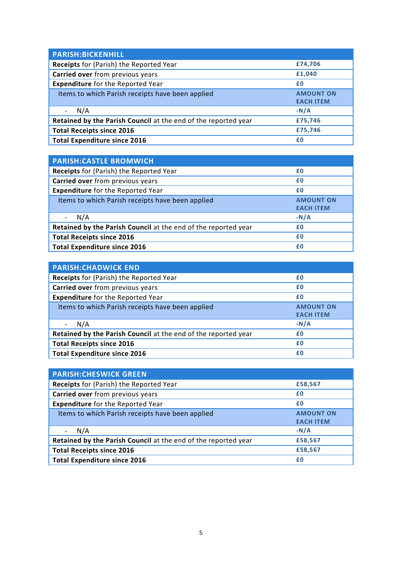| <b>PARISH:BICKENHILL</b>                                       |                  |
|----------------------------------------------------------------|------------------|
| Receipts for (Parish) the Reported Year                        | £74,706          |
| Carried over from previous years                               | £1,040           |
| <b>Expenditure</b> for the Reported Year                       | £0               |
| Items to which Parish receipts have been applied               | <b>AMOUNT ON</b> |
|                                                                | <b>EACH ITEM</b> |
| N/A                                                            | $-N/A$           |
| Retained by the Parish Council at the end of the reported year | £75,746          |
| <b>Total Receipts since 2016</b>                               | £75,746          |
| <b>Total Expenditure since 2016</b>                            | £0               |

| <b>PARISH: CASTLE BROMWICH</b>                                 |                  |
|----------------------------------------------------------------|------------------|
| Receipts for (Parish) the Reported Year                        | £0               |
| Carried over from previous years                               | £0               |
| <b>Expenditure</b> for the Reported Year                       | £0               |
| Items to which Parish receipts have been applied               | <b>AMOUNT ON</b> |
|                                                                | <b>EACH ITEM</b> |
| N/A                                                            | $-N/A$           |
| Retained by the Parish Council at the end of the reported year | £0               |
| <b>Total Receipts since 2016</b>                               | £0               |
| <b>Total Expenditure since 2016</b>                            | £0               |

| <b>PARISH: CHADWICK END</b>                                    |                  |
|----------------------------------------------------------------|------------------|
| Receipts for (Parish) the Reported Year                        | £0               |
| Carried over from previous years                               | £0               |
| <b>Expenditure</b> for the Reported Year                       | £0               |
| Items to which Parish receipts have been applied               | <b>AMOUNT ON</b> |
|                                                                | <b>EACH ITEM</b> |
| N/A                                                            | $-N/A$           |
| Retained by the Parish Council at the end of the reported year | £0               |
| <b>Total Receipts since 2016</b>                               | £0               |
| <b>Total Expenditure since 2016</b>                            | £0               |

| <b>PARISH: CHESWICK GREEN</b>                                  |                  |
|----------------------------------------------------------------|------------------|
| <b>Receipts</b> for (Parish) the Reported Year                 | £58,567          |
| Carried over from previous years                               | £0               |
| <b>Expenditure</b> for the Reported Year                       | £0               |
| Items to which Parish receipts have been applied               | <b>AMOUNT ON</b> |
|                                                                | <b>EACH ITEM</b> |
| N/A                                                            | $-N/A$           |
| Retained by the Parish Council at the end of the reported year | £58,567          |
| <b>Total Receipts since 2016</b>                               | £58,567          |
| <b>Total Expenditure since 2016</b>                            | £0               |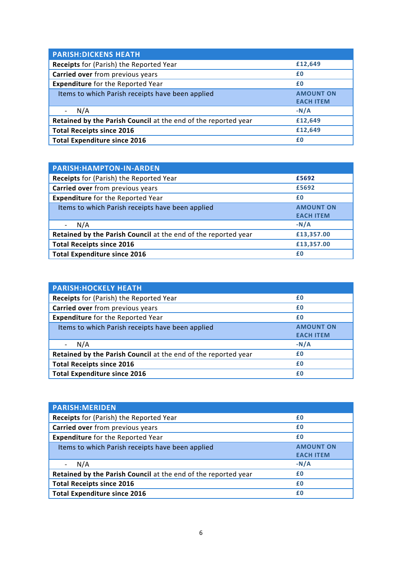| <b>PARISH:DICKENS HEATH</b>                                    |                  |
|----------------------------------------------------------------|------------------|
| Receipts for (Parish) the Reported Year                        | £12,649          |
| Carried over from previous years                               | £0               |
| <b>Expenditure</b> for the Reported Year                       | £0               |
| Items to which Parish receipts have been applied               | <b>AMOUNT ON</b> |
|                                                                | <b>EACH ITEM</b> |
| N/A                                                            | $-N/A$           |
| Retained by the Parish Council at the end of the reported year | £12,649          |
| <b>Total Receipts since 2016</b>                               | £12,649          |
| <b>Total Expenditure since 2016</b>                            | £0               |

| <b>PARISH:HAMPTON-IN-ARDEN</b>                                 |                  |
|----------------------------------------------------------------|------------------|
| Receipts for (Parish) the Reported Year                        | £5692            |
| Carried over from previous years                               | £5692            |
| <b>Expenditure</b> for the Reported Year                       | £0               |
| Items to which Parish receipts have been applied               | <b>AMOUNT ON</b> |
|                                                                | <b>EACH ITEM</b> |
| N/A                                                            | $-N/A$           |
| Retained by the Parish Council at the end of the reported year | £13,357.00       |
| <b>Total Receipts since 2016</b>                               | £13,357.00       |
| <b>Total Expenditure since 2016</b>                            | £0               |

| <b>PARISH: HOCKELY HEATH</b>                                   |                                      |
|----------------------------------------------------------------|--------------------------------------|
| <b>Receipts</b> for (Parish) the Reported Year                 | £0                                   |
| Carried over from previous years                               | £0                                   |
| <b>Expenditure</b> for the Reported Year                       | £0                                   |
| Items to which Parish receipts have been applied               | <b>AMOUNT ON</b><br><b>EACH ITEM</b> |
| N/A                                                            | $-N/A$                               |
| Retained by the Parish Council at the end of the reported year | £0                                   |
| <b>Total Receipts since 2016</b>                               | £0                                   |
| <b>Total Expenditure since 2016</b>                            | £0                                   |

| £0               |
|------------------|
| £0               |
| £0               |
| <b>AMOUNT ON</b> |
| <b>EACH ITEM</b> |
| $-N/A$           |
| £0               |
| £0               |
| £0               |
|                  |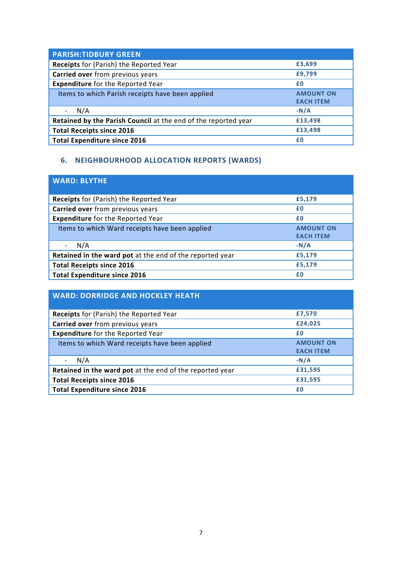| <b>PARISH:TIDBURY GREEN</b>                                    |                  |
|----------------------------------------------------------------|------------------|
| Receipts for (Parish) the Reported Year                        | £3,699           |
| Carried over from previous years                               | £9,799           |
| <b>Expenditure</b> for the Reported Year                       | £0               |
| Items to which Parish receipts have been applied               | <b>AMOUNT ON</b> |
|                                                                | <b>EACH ITEM</b> |
| N/A                                                            | $-N/A$           |
| Retained by the Parish Council at the end of the reported year | £13,498          |
| <b>Total Receipts since 2016</b>                               | £13,498          |
| <b>Total Expenditure since 2016</b>                            | £0               |

### **6. NEIGHBOURHOOD ALLOCATION REPORTS (WARDS)**

| <b>WARD: BLYTHE</b>                                      |                                      |
|----------------------------------------------------------|--------------------------------------|
| <b>Receipts</b> for (Parish) the Reported Year           | £5,179                               |
| Carried over from previous years                         | £0                                   |
| <b>Expenditure</b> for the Reported Year                 | £0                                   |
| Items to which Ward receipts have been applied           | <b>AMOUNT ON</b><br><b>EACH ITEM</b> |
| N/A                                                      | $-N/A$                               |
| Retained in the ward pot at the end of the reported year | £5,179                               |
| <b>Total Receipts since 2016</b>                         | £5,179                               |
| <b>Total Expenditure since 2016</b>                      | £0                                   |

| <b>WARD: DORRIDGE AND HOCKLEY HEATH</b>                  |                                      |
|----------------------------------------------------------|--------------------------------------|
| <b>Receipts for (Parish) the Reported Year</b>           | £7,570                               |
| Carried over from previous years                         | £24,025                              |
| <b>Expenditure</b> for the Reported Year                 | £0                                   |
| Items to which Ward receipts have been applied           | <b>AMOUNT ON</b><br><b>EACH ITEM</b> |
| N/A                                                      | $-N/A$                               |
| Retained in the ward pot at the end of the reported year | £31,595                              |
| <b>Total Receipts since 2016</b>                         | £31,595                              |
| <b>Total Expenditure since 2016</b>                      | £0                                   |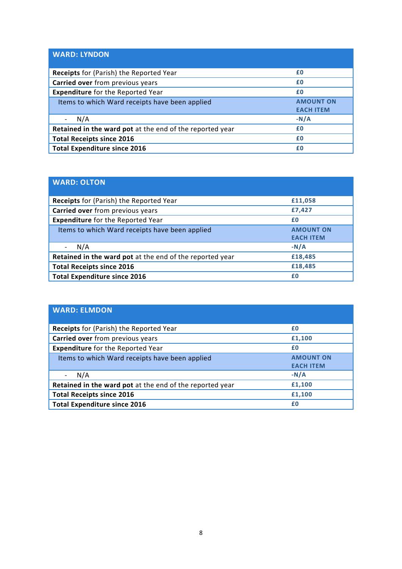| <b>WARD: LYNDON</b>                                      |                                      |
|----------------------------------------------------------|--------------------------------------|
| Receipts for (Parish) the Reported Year                  | £0                                   |
| Carried over from previous years                         | £0                                   |
| <b>Expenditure</b> for the Reported Year                 | £0                                   |
| Items to which Ward receipts have been applied           | <b>AMOUNT ON</b><br><b>EACH ITEM</b> |
| N/A                                                      | $-N/A$                               |
| Retained in the ward pot at the end of the reported year | £0                                   |
| <b>Total Receipts since 2016</b>                         | £0                                   |
| <b>Total Expenditure since 2016</b>                      | £0                                   |

| <b>WARD: OLTON</b>                                       |                                      |
|----------------------------------------------------------|--------------------------------------|
| <b>Receipts</b> for (Parish) the Reported Year           | £11,058                              |
| Carried over from previous years                         | £7,427                               |
| <b>Expenditure</b> for the Reported Year                 | £0                                   |
| Items to which Ward receipts have been applied           | <b>AMOUNT ON</b><br><b>EACH ITEM</b> |
| N/A                                                      | $-N/A$                               |
| Retained in the ward pot at the end of the reported year | £18,485                              |
| <b>Total Receipts since 2016</b>                         | £18,485                              |
| <b>Total Expenditure since 2016</b>                      | £0                                   |

| <b>WARD: ELMDON</b>                                      |                                      |
|----------------------------------------------------------|--------------------------------------|
| <b>Receipts</b> for (Parish) the Reported Year           | £0                                   |
| Carried over from previous years                         | £1,100                               |
| <b>Expenditure</b> for the Reported Year                 | £0                                   |
| Items to which Ward receipts have been applied           | <b>AMOUNT ON</b><br><b>EACH ITEM</b> |
| N/A                                                      | $-N/A$                               |
| Retained in the ward pot at the end of the reported year | £1,100                               |
| <b>Total Receipts since 2016</b>                         | £1,100                               |
| <b>Total Expenditure since 2016</b>                      | £0                                   |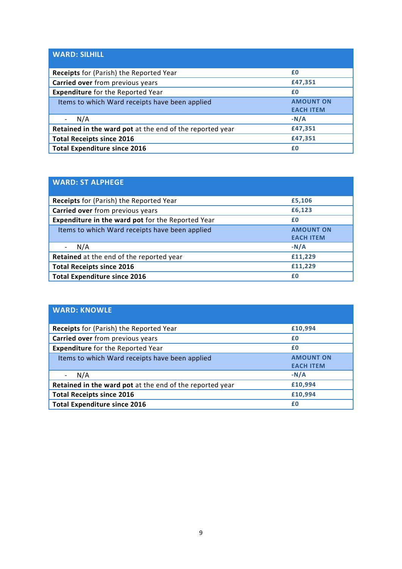| <b>WARD: SILHILL</b>                                     |                                      |
|----------------------------------------------------------|--------------------------------------|
| Receipts for (Parish) the Reported Year                  | £0                                   |
| Carried over from previous years                         | £47,351                              |
| <b>Expenditure</b> for the Reported Year                 | £0                                   |
| Items to which Ward receipts have been applied           | <b>AMOUNT ON</b><br><b>EACH ITEM</b> |
| N/A                                                      | $-N/A$                               |
| Retained in the ward pot at the end of the reported year | £47,351                              |
| <b>Total Receipts since 2016</b>                         | £47,351                              |
| <b>Total Expenditure since 2016</b>                      | £0                                   |

| <b>WARD: ST ALPHEGE</b>                                  |                                      |
|----------------------------------------------------------|--------------------------------------|
| <b>Receipts</b> for (Parish) the Reported Year           | £5,106                               |
| Carried over from previous years                         | £6,123                               |
| <b>Expenditure in the ward pot for the Reported Year</b> | £0                                   |
| Items to which Ward receipts have been applied           | <b>AMOUNT ON</b><br><b>EACH ITEM</b> |
| N/A                                                      | $-N/A$                               |
| Retained at the end of the reported year                 | £11,229                              |
| <b>Total Receipts since 2016</b>                         | £11,229                              |
| <b>Total Expenditure since 2016</b>                      | £0                                   |

| <b>WARD: KNOWLE</b>                                      |                                      |
|----------------------------------------------------------|--------------------------------------|
| <b>Receipts for (Parish) the Reported Year</b>           | £10,994                              |
| Carried over from previous years                         | £0                                   |
| <b>Expenditure</b> for the Reported Year                 | £0                                   |
| Items to which Ward receipts have been applied           | <b>AMOUNT ON</b><br><b>EACH ITEM</b> |
| N/A                                                      | $-N/A$                               |
| Retained in the ward pot at the end of the reported year | £10,994                              |
| <b>Total Receipts since 2016</b>                         | £10,994                              |
| <b>Total Expenditure since 2016</b>                      | £0                                   |